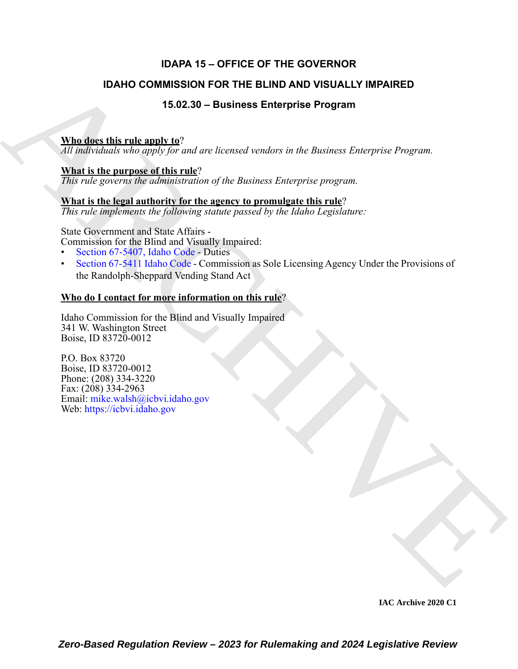## **IDAPA 15 – OFFICE OF THE GOVERNOR**

## **IDAHO COMMISSION FOR THE BLIND AND VISUALLY IMPAIRED**

## **15.02.30 – Business Enterprise Program**

## **Who does this rule apply to**?

*All individuals who apply for and are licensed vendors in the Business Enterprise Program.*

## **What is the purpose of this rule**?

*This rule governs the administration of the Business Enterprise program.*

## **What is the legal authority for the agency to promulgate this rule**?

*This rule implements the following statute passed by the Idaho Legislature:*

State Government and State Affairs -

Commission for the Blind and Visually Impaired:

- Section 67-5407, Idaho Code Duties
- Section 67-5411 Idaho Code Commission as Sole Licensing Agency Under the Provisions of the Randolph-Sheppard Vending Stand Act

## **Who do I contact for more information on this rule**?

Idaho Commission for the Blind and Visually Impaired 341 W. Washington Street Boise, ID 83720-0012

**IDAHO COMMISSION FOR THE BLIND AND VISUALLY IMPAIRED**<br>
15.02.30 - Business Enterprise Program<br>
While describing the plane line of the state of the fluctuation of the fluctuation of the fluctuation of the fluctuation of t P.O. Box 83720 Boise, ID 83720-0012 Phone: (208) 334-3220 Fax: (208) 334-2963 Email: mike.walsh@icbvi.idaho.gov Web: https://icbvi.idaho.gov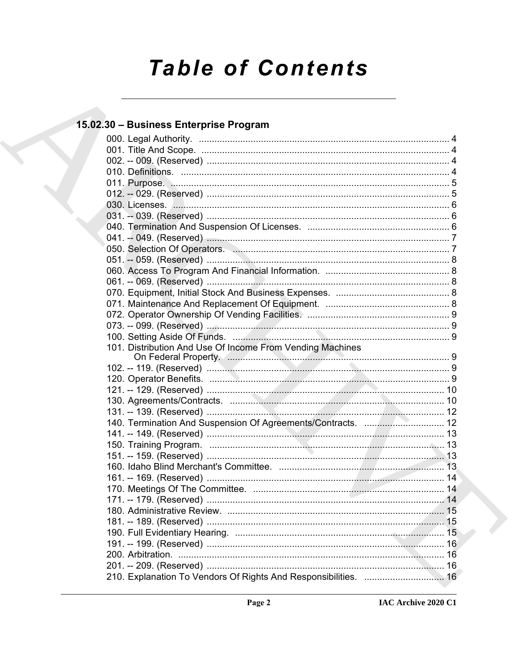# **Table of Contents**

## 15.02.30 - Business Enterprise Program

|  | 101. Distribution And Use Of Income From Vending Machines       |  |
|--|-----------------------------------------------------------------|--|
|  |                                                                 |  |
|  |                                                                 |  |
|  |                                                                 |  |
|  |                                                                 |  |
|  |                                                                 |  |
|  | 140. Termination And Suspension Of Agreements/Contracts.  12    |  |
|  |                                                                 |  |
|  |                                                                 |  |
|  |                                                                 |  |
|  |                                                                 |  |
|  |                                                                 |  |
|  |                                                                 |  |
|  |                                                                 |  |
|  |                                                                 |  |
|  | 180 Administrative Review<br>$\sim$ 15                          |  |
|  |                                                                 |  |
|  |                                                                 |  |
|  |                                                                 |  |
|  |                                                                 |  |
|  |                                                                 |  |
|  | 210. Explanation To Vendors Of Rights And Responsibilities.  16 |  |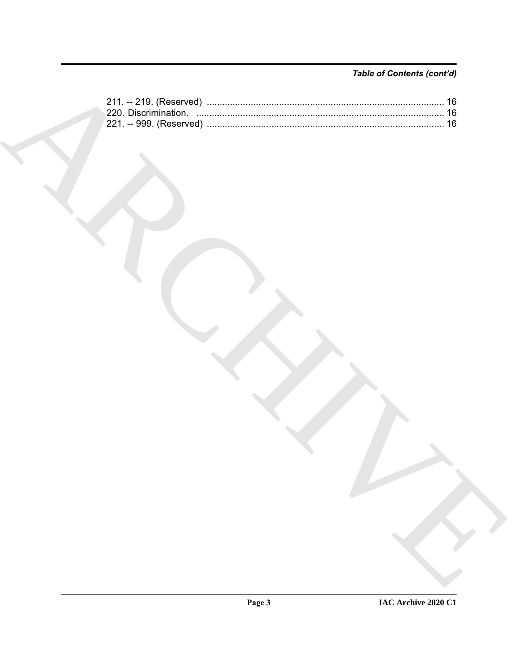## Table of Contents (cont'd)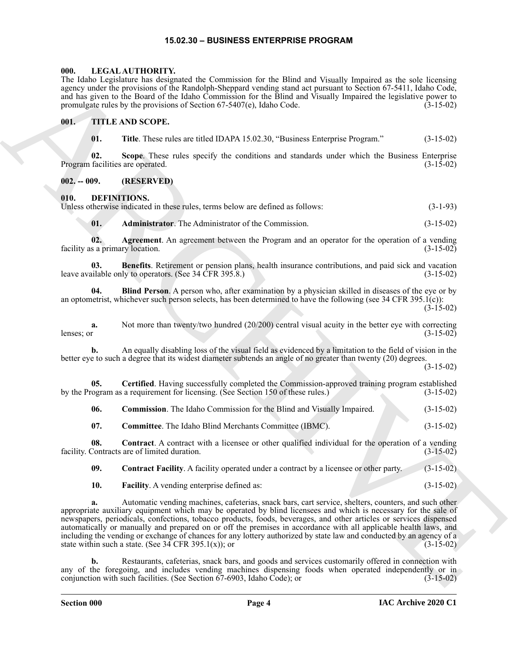#### **15.02.30 – BUSINESS ENTERPRISE PROGRAM**

#### <span id="page-3-16"></span><span id="page-3-1"></span><span id="page-3-0"></span>**000. LEGAL AUTHORITY.**

The Idaho Legislature has designated the Commission for the Blind and Visually Impaired as the sole licensing agency under the provisions of the Randolph-Sheppard vending stand act pursuant to Section 67-5411, Idaho Code, and has given to the Board of the Idaho Commission for the Blind and Visually Impaired the legislative power to promulgate rules by the provisions of Section 67-5407(e), Idaho Code. (3-15-02)

#### <span id="page-3-2"></span>**001. TITLE AND SCOPE.**

<span id="page-3-17"></span>**01. Title**. These rules are titled IDAPA 15.02.30, "Business Enterprise Program." (3-15-02)

**02. Scope**. These rules specify the conditions and standards under which the Business Enterprise Program facilities are operated. (3-15-02)

#### <span id="page-3-3"></span>**002. -- 009. (RESERVED)**

#### <span id="page-3-5"></span><span id="page-3-4"></span>**010. DEFINITIONS.**

| Unless otherwise indicated in these rules, terms below are defined as follows: | $(3-1-93)$ |
|--------------------------------------------------------------------------------|------------|
|                                                                                |            |

<span id="page-3-8"></span><span id="page-3-7"></span><span id="page-3-6"></span>**01. Administrator**. The Administrator of the Commission. (3-15-02)

**02. Agreement**. An agreement between the Program and an operator for the operation of a vending facility as a primary location. (3-15-02) (3-15-02)

**03. Benefits**. Retirement or pension plans, health insurance contributions, and paid sick and vacation leave available only to operators. (See 34 CFR 395.8.) (3-15-02)

<span id="page-3-9"></span>**04. Blind Person**. A person who, after examination by a physician skilled in diseases of the eye or by an optometrist, whichever such person selects, has been determined to have the following (see 34 CFR 395.1(c)):  $(3-15-02)$ 

**a.** Not more than twenty/two hundred (20/200) central visual acuity in the better eye with correcting lenses; or  $(3-15-02)$ lenses; or  $(3-15-02)$ 

**b.** An equally disabling loss of the visual field as evidenced by a limitation to the field of vision in the better eye to such a degree that its widest diameter subtends an angle of no greater than twenty (20) degrees.

(3-15-02)

**05. Certified**. Having successfully completed the Commission-approved training program established by the Program as a requirement for licensing. (See Section 150 of these rules.) (3-15-02)

<span id="page-3-11"></span><span id="page-3-10"></span>**06. Commission**. The Idaho Commission for the Blind and Visually Impaired. (3-15-02)

<span id="page-3-13"></span><span id="page-3-12"></span>**07. Committee**. The Idaho Blind Merchants Committee (IBMC). (3-15-02)

**08. Contract**. A contract with a licensee or other qualified individual for the operation of a vending Contracts are of limited duration. (3-15-02) facility. Contracts are of limited duration.

<span id="page-3-14"></span>**09. Contract Facility**. A facility operated under a contract by a licensee or other party. (3-15-02)

<span id="page-3-15"></span>**10. Facility**. A vending enterprise defined as: (3-15-02)

The blank technique the March Commission in the European of the March Commission in the state of the state of the Commission of the State of the March Commission in the state of the State of the March Commission in the st **a.** Automatic vending machines, cafeterias, snack bars, cart service, shelters, counters, and such other appropriate auxiliary equipment which may be operated by blind licensees and which is necessary for the sale of newspapers, periodicals, confections, tobacco products, foods, beverages, and other articles or services dispensed automatically or manually and prepared on or off the premises in accordance with all applicable health laws, and including the vending or exchange of chances for any lottery authorized by state law and conducted by an agency of a state within such a state. (See 34 CFR 395.1(x)); or  $(3-15-02)$ 

**b.** Restaurants, cafeterias, snack bars, and goods and services customarily offered in connection with any of the foregoing, and includes vending machines dispensing foods when operated independently or in conjunction with such facilities. (See Section 67-6903, Idaho Code); or (3-15-02) conjunction with such facilities. (See Section  $67-6903$ , Idaho Code); or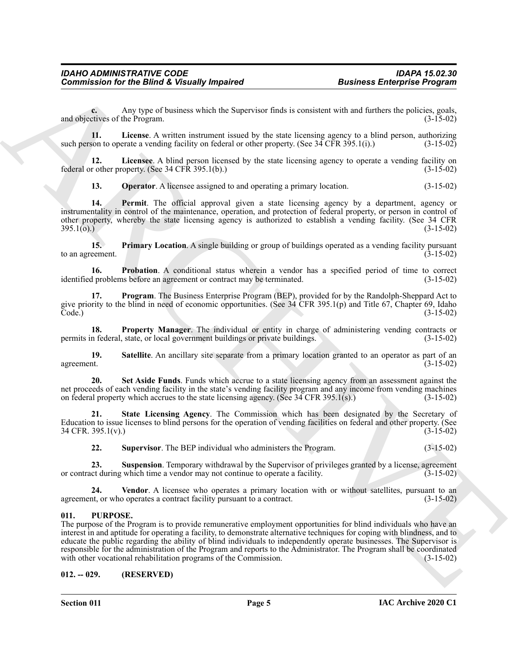**c.** Any type of business which the Supervisor finds is consistent with and furthers the policies, goals, and objectives of the Program. (3-15-02)

<span id="page-4-2"></span>**11. License**. A written instrument issued by the state licensing agency to a blind person, authorizing such person to operate a vending facility on federal or other property. (See 34 CFR 395.1(i).) (3-15-02)

**12. Licensee**. A blind person licensed by the state licensing agency to operate a vending facility on federal or other property. (See 34 CFR 395.1(b).) (3-15-02)

<span id="page-4-5"></span><span id="page-4-4"></span><span id="page-4-3"></span>**13. Operator**. A licensee assigned to and operating a primary location. (3-15-02)

**14. Permit**. The official approval given a state licensing agency by a department, agency or instrumentality in control of the maintenance, operation, and protection of federal property, or person in control of other property, whereby the state licensing agency is authorized to establish a vending facility. (See 34 CFR  $395.1(0)$  (3-15-02)

<span id="page-4-6"></span>**15. Primary Location**. A single building or group of buildings operated as a vending facility pursuant to an agreement.  $(3-15-02)$ 

<span id="page-4-7"></span>**16. Probation**. A conditional status wherein a vendor has a specified period of time to correct problems before an agreement or contract may be terminated. (3-15-02) identified problems before an agreement or contract may be terminated.

<span id="page-4-8"></span>**17. Program**. The Business Enterprise Program (BEP), provided for by the Randolph-Sheppard Act to give priority to the blind in need of economic opportunities. (See 34 CFR 395.1(p) and Title 67, Chapter 69, Idaho Code.) (3-15-02)

<span id="page-4-9"></span>**18. Property Manager**. The individual or entity in charge of administering vending contracts or permits in federal, state, or local government buildings or private buildings. (3-15-02)

<span id="page-4-10"></span>**19.** Satellite. An ancillary site separate from a primary location granted to an operator as part of an agreement.  $(3-15-02)$ agreement. (3-15-02)

<span id="page-4-11"></span>**20. Set Aside Funds**. Funds which accrue to a state licensing agency from an assessment against the net proceeds of each vending facility in the state's vending facility program and any income from vending machines on federal property which accrues to the state licensing agency. (See 34 CFR 395.1(s).) (3-15-02)

**21. State Licensing Agency**. The Commission which has been designated by the Secretary of Education to issue licenses to blind persons for the operation of vending facilities on federal and other property. (See 34 CFR. 395.1(v).) (3-15-02) 34 CFR. 395.1(v).)

<span id="page-4-15"></span><span id="page-4-14"></span><span id="page-4-13"></span><span id="page-4-12"></span>**22. Supervisor**. The BEP individual who administers the Program. (3-15-02)

**23. Suspension**. Temporary withdrawal by the Supervisor of privileges granted by a license, agreement or contract during which time a vendor may not continue to operate a facility. (3-15-02)

**24. Vendor**. A licensee who operates a primary location with or without satellites, pursuant to an agreement, or who operates a contract facility pursuant to a contract. (3-15-02)

#### <span id="page-4-16"></span><span id="page-4-0"></span>**011. PURPOSE.**

Commissions for the Bifurd K. Denoting Ampaired<br>
Business Enterprise Program<br>
20. Also consider the Bifurd A. Denoting the Supervise limits is cension with and listens the projects. goods<br>
21. Also consider the supervise The purpose of the Program is to provide remunerative employment opportunities for blind individuals who have an interest in and aptitude for operating a facility, to demonstrate alternative techniques for coping with blindness, and to educate the public regarding the ability of blind individuals to independently operate businesses. The Supervisor is responsible for the administration of the Program and reports to the Administrator. The Program shall be coordinated with other vocational rehabilitation programs of the Commission. (3-15-02)

#### <span id="page-4-1"></span>**012. -- 029. (RESERVED)**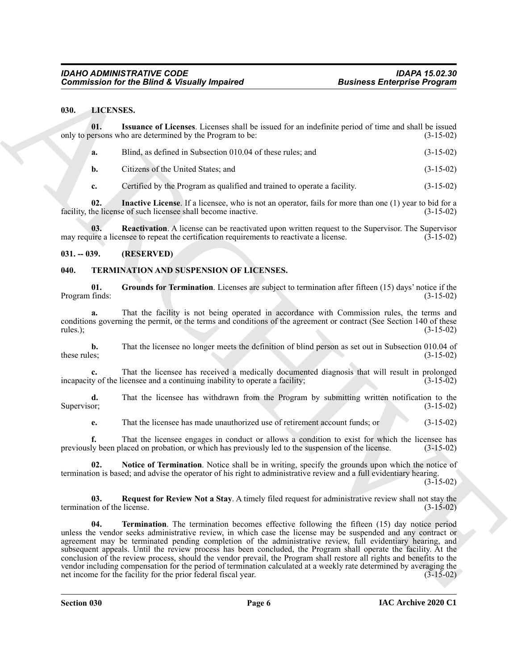#### <span id="page-5-5"></span><span id="page-5-3"></span><span id="page-5-0"></span>**030. LICENSES.**

|                                    | <b>Commission for the Blind &amp; Visually Impaired</b>                                                                                                                                                                                                                                                                           | <b>Business Enterprise Program</b>                                                                              |
|------------------------------------|-----------------------------------------------------------------------------------------------------------------------------------------------------------------------------------------------------------------------------------------------------------------------------------------------------------------------------------|-----------------------------------------------------------------------------------------------------------------|
| 030.<br>LICENSES.                  |                                                                                                                                                                                                                                                                                                                                   |                                                                                                                 |
| 01.                                | Issuance of Licenses. Licenses shall be issued for an indefinite period of time and shall be issued<br>only to persons who are determined by the Program to be:                                                                                                                                                                   | $(3-15-02)$                                                                                                     |
| a.                                 | Blind, as defined in Subsection 010.04 of these rules; and                                                                                                                                                                                                                                                                        | $(3-15-02)$                                                                                                     |
| b.                                 | Citizens of the United States; and                                                                                                                                                                                                                                                                                                | $(3-15-02)$                                                                                                     |
| c.                                 | Certified by the Program as qualified and trained to operate a facility.                                                                                                                                                                                                                                                          | $(3-15-02)$                                                                                                     |
| 02.                                | Inactive License. If a licensee, who is not an operator, fails for more than one (1) year to bid for a<br>facility, the license of such licensee shall become inactive.                                                                                                                                                           | $(3-15-02)$                                                                                                     |
| 03.                                | <b>Reactivation.</b> A license can be reactivated upon written request to the Supervisor. The Supervisor<br>may require a licensee to repeat the certification requirements to reactivate a license.                                                                                                                              | $(3-15-02)$                                                                                                     |
| $031. - 039.$                      | (RESERVED)                                                                                                                                                                                                                                                                                                                        |                                                                                                                 |
| 040.                               | TERMINATION AND SUSPENSION OF LICENSES.                                                                                                                                                                                                                                                                                           |                                                                                                                 |
| 01.<br>Program finds:              | Grounds for Termination. Licenses are subject to termination after fifteen (15) days' notice if the                                                                                                                                                                                                                               | $(3-15-02)$                                                                                                     |
| a.<br>rules.);                     | That the facility is not being operated in accordance with Commission rules, the terms and<br>conditions governing the permit, or the terms and conditions of the agreement or contract (See Section 140 of these                                                                                                                 | $(3-15-02)$                                                                                                     |
| b.<br>these rules;                 | That the licensee no longer meets the definition of blind person as set out in Subsection 010.04 of                                                                                                                                                                                                                               | $(3-15-02)$                                                                                                     |
| c.                                 | That the licensee has received a medically documented diagnosis that will result in prolonged<br>incapacity of the licensee and a continuing inability to operate a facility;                                                                                                                                                     | $(3-15-02)$                                                                                                     |
| d.<br>Supervisor;                  | That the licensee has withdrawn from the Program by submitting written notification to the                                                                                                                                                                                                                                        | $(3-15-02)$                                                                                                     |
| e.                                 | That the licensee has made unauthorized use of retirement account funds; or                                                                                                                                                                                                                                                       | $(3-15-02)$                                                                                                     |
|                                    | That the licensee engages in conduct or allows a condition to exist for which the licensee has<br>previously been placed on probation, or which has previously led to the suspension of the license.                                                                                                                              | $(3-15-02)$                                                                                                     |
| 02.                                | Notice of Termination. Notice shall be in writing, specify the grounds upon which the notice of<br>termination is based; and advise the operator of his right to administrative review and a full evidentiary hearing.                                                                                                            | $(3-15-02)$                                                                                                     |
| 03.<br>termination of the license. | Request for Review Not a Stay. A timely filed request for administrative review shall not stay the                                                                                                                                                                                                                                | $(3-15-02)$                                                                                                     |
| 04.                                | <b>Termination.</b> The termination becomes effective following the fifteen (15) day notice period<br>unless the vendor seeks administrative review, in which case the license may be suspended and any contract or<br>agreement may be terminated pending completion of the administrative review, full evidentiary hearing, and | subsequent appeals. Until the review process has been concluded, the Program shall operate the facility. At the |

#### <span id="page-5-6"></span><span id="page-5-4"></span><span id="page-5-1"></span>**031. -- 039. (RESERVED)**

#### <span id="page-5-11"></span><span id="page-5-10"></span><span id="page-5-9"></span><span id="page-5-8"></span><span id="page-5-7"></span><span id="page-5-2"></span>**040. TERMINATION AND SUSPENSION OF LICENSES.**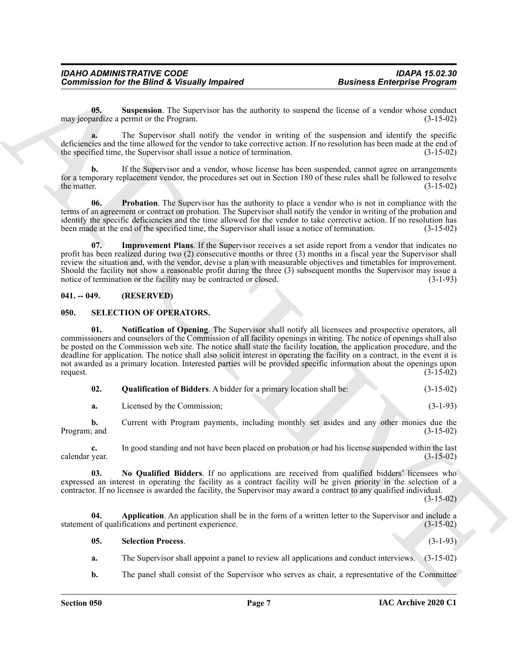<span id="page-6-10"></span>**05.** Suspension. The Supervisor has the authority to suspend the license of a vendor whose conduct may jeopardize a permit or the Program. (3-15-02)

**a.** The Supervisor shall notify the vendor in writing of the suspension and identify the specific deficiencies and the time allowed for the vendor to take corrective action. If no resolution has been made at the end of the specified time, the Supervisor shall issue a notice of termination. (3-15-02) the specified time, the Supervisor shall issue a notice of termination.

**b.** If the Supervisor and a vendor, whose license has been suspended, cannot agree on arrangements for a temporary replacement vendor, the procedures set out in Section 180 of these rules shall be followed to resolve<br>the matter. (3-15-02) the matter.  $(3-15-02)$ 

<span id="page-6-9"></span>**06. Probation**. The Supervisor has the authority to place a vendor who is not in compliance with the terms of an agreement or contract on probation. The Supervisor shall notify the vendor in writing of the probation and identify the specific deficiencies and the time allowed for the vendor to take corrective action. If no resolution has been made at the end of the specified time, the Supervisor shall issue a notice of termination. (3-15-02)

<span id="page-6-8"></span>**07. Improvement Plans**. If the Supervisor receives a set aside report from a vendor that indicates no profit has been realized during two (2) consecutive months or three (3) months in a fiscal year the Supervisor shall review the situation and, with the vendor, devise a plan with measurable objectives and timetables for improvement. Should the facility not show a reasonable profit during the three (3) subsequent months the Supervisor may issue a notice of termination or the facility may be contracted or closed. (3-1-93) notice of termination or the facility may be contracted or closed.

#### <span id="page-6-0"></span>**041. -- 049. (RESERVED)**

#### <span id="page-6-5"></span><span id="page-6-2"></span><span id="page-6-1"></span>**050. SELECTION OF OPERATORS.**

Commissions for the Bifurd K. Viewally Impaired<br>
Business Enterprise Program<br>
10. Supposed to the Bifurd S. Viewally in the velocity is using of the locustor of system since the particle<br>
time  $\frac{1}{2}$  and the System sin **01. Notification of Opening**. The Supervisor shall notify all licensees and prospective operators, all commissioners and counselors of the Commission of all facility openings in writing. The notice of openings shall also be posted on the Commission web site. The notice shall state the facility location, the application procedure, and the deadline for application. The notice shall also solicit interest in operating the facility on a contract, in the event it is not awarded as a primary location. Interested parties will be provided specific information about the openings upon request.  $(3-15-02)$ 

<span id="page-6-6"></span>

| 02. | <b>Qualification of Bidders.</b> A bidder for a primary location shall be: | $(3-15-02)$ |  |
|-----|----------------------------------------------------------------------------|-------------|--|
|     | Licensed by the Commission:                                                | $(3-1-93)$  |  |

**b.** Current with Program payments, including monthly set asides and any other monies due the (3-15-02) Program; and

**c.** In good standing and not have been placed on probation or had his license suspended within the last calendar year. (3-15-02)

<span id="page-6-4"></span>**03. No Qualified Bidders**. If no applications are received from qualified bidders' licensees who expressed an interest in operating the facility as a contract facility will be given priority in the selection of a contractor. If no licensee is awarded the facility, the Supervisor may award a contract to any qualified individual.

(3-15-02)

**04. Application**. An application shall be in the form of a written letter to the Supervisor and include a statement of qualifications and pertinent experience. (3-15-02)

#### <span id="page-6-7"></span><span id="page-6-3"></span>**05. Selection Process**. (3-1-93)

**a.** The Supervisor shall appoint a panel to review all applications and conduct interviews. (3-15-02)

**b.** The panel shall consist of the Supervisor who serves as chair, a representative of the Committee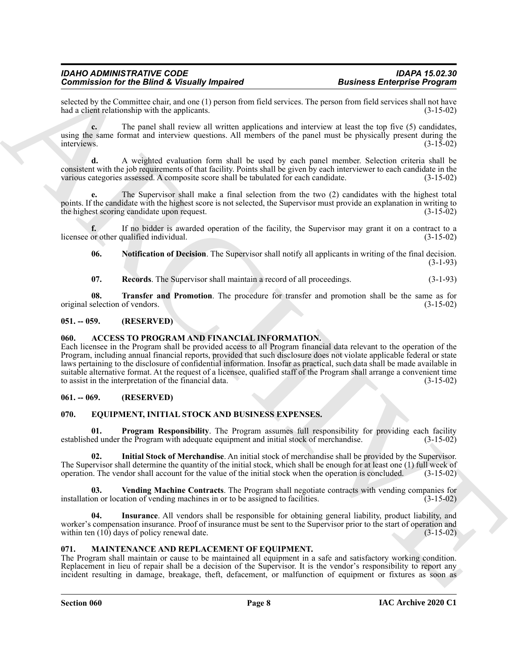selected by the Committee chair, and one (1) person from field services. The person from field services shall not have<br>(3-15-02) (3-15-02) had a client relationship with the applicants.

**c.** The panel shall review all written applications and interview at least the top five (5) candidates, using the same format and interview questions. All members of the panel must be physically present during the  $\text{interviews.}$  (3-15-02)

**d.** A weighted evaluation form shall be used by each panel member. Selection criteria shall be consistent with the job requirements of that facility. Points shall be given by each interviewer to each candidate in the various categories assessed. A composite score shall be tabulated for each candidate. (3-15-02)

**e.** The Supervisor shall make a final selection from the two (2) candidates with the highest total points. If the candidate with the highest score is not selected, the Supervisor must provide an explanation in writing to the highest scoring candidate upon request. (3-15-02)

**f.** If no bidder is awarded operation of the facility, the Supervisor may grant it on a contract to a or other qualified individual. (3-15-02) licensee or other qualified individual.

<span id="page-7-12"></span>**06. Notification of Decision**. The Supervisor shall notify all applicants in writing of the final decision.  $(3-1-93)$ 

<span id="page-7-14"></span><span id="page-7-13"></span>**07. Records**. The Supervisor shall maintain a record of all proceedings. (3-1-93)

**08. Transfer and Promotion**. The procedure for transfer and promotion shall be the same as for original selection of vendors. (3-15-02)

#### <span id="page-7-0"></span>**051. -- 059. (RESERVED)**

#### <span id="page-7-5"></span><span id="page-7-1"></span>**060. ACCESS TO PROGRAM AND FINANCIAL INFORMATION.**

Commission for the Birlin Collegeally Ampaired<br>
Business Enterprise Programs Conservation and the School School School School School School School School School School School School School School School School School Scho Each licensee in the Program shall be provided access to all Program financial data relevant to the operation of the Program, including annual financial reports, provided that such disclosure does not violate applicable federal or state laws pertaining to the disclosure of confidential information. Insofar as practical, such data shall be made available in suitable alternative format. At the request of a licensee, qualified staff of the Program shall arrange a convenient time to assist in the interpretation of the financial data. (3-15-02)

#### <span id="page-7-2"></span>**061. -- 069. (RESERVED)**

#### <span id="page-7-6"></span><span id="page-7-3"></span>**070. EQUIPMENT, INITIAL STOCK AND BUSINESS EXPENSES.**

<span id="page-7-9"></span>**01. Program Responsibility**. The Program assumes full responsibility for providing each facility established under the Program with adequate equipment and initial stock of merchandise. (3-15-02)

<span id="page-7-7"></span>**02. Initial Stock of Merchandise**. An initial stock of merchandise shall be provided by the Supervisor. The Supervisor shall determine the quantity of the initial stock, which shall be enough for at least one (1) full week of operation. The vendor shall account for the value of the initial stock when the operation is concluded. (3-15-02)

<span id="page-7-10"></span>**03. Vending Machine Contracts**. The Program shall negotiate contracts with vending companies for installation or location of vending machines in or to be assigned to facilities. (3-15-02)

<span id="page-7-8"></span>**04. Insurance**. All vendors shall be responsible for obtaining general liability, product liability, and worker's compensation insurance. Proof of insurance must be sent to the Supervisor prior to the start of operation and within ten  $(10)$  days of policy renewal date.  $(3-15-02)$ 

#### <span id="page-7-11"></span><span id="page-7-4"></span>**071. MAINTENANCE AND REPLACEMENT OF EQUIPMENT.**

The Program shall maintain or cause to be maintained all equipment in a safe and satisfactory working condition. Replacement in lieu of repair shall be a decision of the Supervisor. It is the vendor's responsibility to report any incident resulting in damage, breakage, theft, defacement, or malfunction of equipment or fixtures as soon as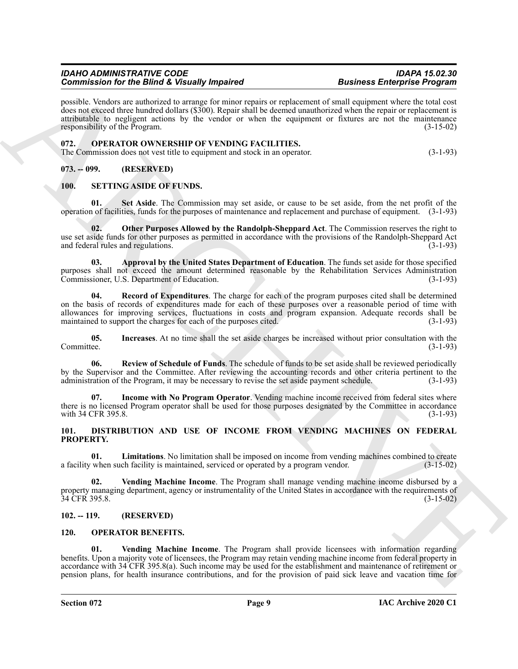possible. Vendors are authorized to arrange for minor repairs or replacement of small equipment where the total cost does not exceed three hundred dollars (\$300). Repair shall be deemed unauthorized when the repair or replacement is attributable to negligent actions by the vendor or when the equipment or fixtures are not the maintenance responsibility of the Program. (3-15-02)

#### <span id="page-8-11"></span><span id="page-8-0"></span>**072. OPERATOR OWNERSHIP OF VENDING FACILITIES.**

The Commission does not vest title to equipment and stock in an operator. (3-1-93)

#### <span id="page-8-1"></span>**073. -- 099. (RESERVED)**

#### <span id="page-8-19"></span><span id="page-8-12"></span><span id="page-8-2"></span>**100. SETTING ASIDE OF FUNDS.**

**01. Set Aside**. The Commission may set aside, or cause to be set aside, from the net profit of the operation of facilities, funds for the purposes of maintenance and replacement and purchase of equipment. (3-1-93)

<span id="page-8-16"></span>**Other Purposes Allowed by the Randolph-Sheppard Act**. The Commission reserves the right to use set aside funds for other purposes as permitted in accordance with the provisions of the Randolph-Sheppard Act and federal rules and regulations. (3-1-93)

<span id="page-8-17"></span><span id="page-8-13"></span>**03. Approval by the United States Department of Education**. The funds set aside for those specified purposes shall not exceed the amount determined reasonable by the Rehabilitation Services Administration Commissioner, U.S. Department of Education.

Commission for the Birth Collegeant proposes the continent continent and the spin and the spin and the spin and the spin and the spin and the spin and the spin and the spin and the spin and the spin and the spin and the s **04. Record of Expenditures**. The charge for each of the program purposes cited shall be determined on the basis of records of expenditures made for each of these purposes over a reasonable period of time with allowances for improving services, fluctuations in costs and program expansion. Adequate records shall be maintained to support the charges for each of the purposes cited. (3-1-93)

<span id="page-8-15"></span>**05. Increases**. At no time shall the set aside charges be increased without prior consultation with the Committee. (3-1-93)

<span id="page-8-18"></span>**06. Review of Schedule of Funds**. The schedule of funds to be set aside shall be reviewed periodically by the Supervisor and the Committee. After reviewing the accounting records and other criteria pertinent to the administration of the Program, it may be necessary to revise the set aside payment schedule. (3-1-93)

<span id="page-8-14"></span>**07. Income with No Program Operator**. Vending machine income received from federal sites where there is no licensed Program operator shall be used for those purposes designated by the Committee in accordance with 34 CFR 395.8. (3-1-93)

<span id="page-8-6"></span><span id="page-8-3"></span>**101. DISTRIBUTION AND USE OF INCOME FROM VENDING MACHINES ON FEDERAL PROPERTY.**

<span id="page-8-7"></span>**01. Limitations**. No limitation shall be imposed on income from vending machines combined to create when such facility is maintained, serviced or operated by a program vendor. (3-15-02) a facility when such facility is maintained, serviced or operated by a program vendor.

<span id="page-8-8"></span>**02. Vending Machine Income**. The Program shall manage vending machine income disbursed by a property managing department, agency or instrumentality of the United States in accordance with the requirements of 34 CFR 395.8. (3-15-02)

#### <span id="page-8-4"></span>**102. -- 119. (RESERVED)**

#### <span id="page-8-9"></span><span id="page-8-5"></span>**120. OPERATOR BENEFITS.**

<span id="page-8-10"></span>**01. Vending Machine Income**. The Program shall provide licensees with information regarding benefits. Upon a majority vote of licensees, the Program may retain vending machine income from federal property in accordance with 34 CFR 395.8(a). Such income may be used for the establishment and maintenance of retirement or pension plans, for health insurance contributions, and for the provision of paid sick leave and vacation time for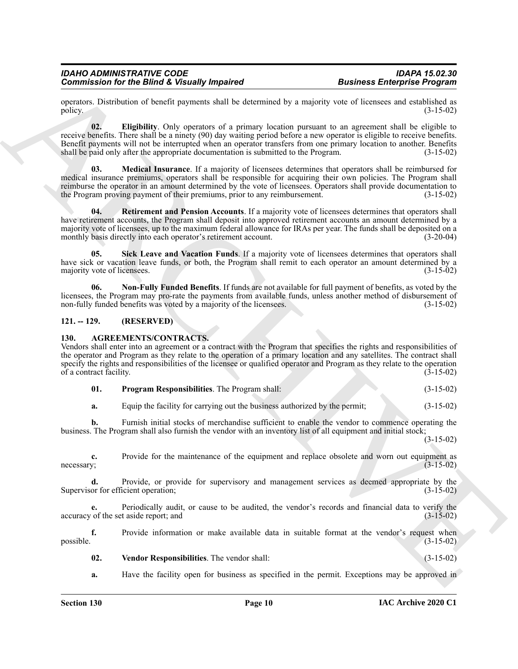operators. Distribution of benefit payments shall be determined by a majority vote of licensees and established as policy.  $(3-15-02)$ 

<span id="page-9-6"></span><span id="page-9-5"></span>**02. Eligibility**. Only operators of a primary location pursuant to an agreement shall be eligible to receive benefits. There shall be a ninety (90) day waiting period before a new operator is eligible to receive benefits. Benefit payments will not be interrupted when an operator transfers from one primary location to another. Benefits shall be paid only after the appropriate documentation is submitted to the Program. (3-15-02)

Commission for the Biftred K. Vienally, Impaired<br>
Stationard Business Enterprise Program and Stationard University of the stationard particle in the stationary of the stationary of the Commission of the Commission of the **03. Medical Insurance**. If a majority of licensees determines that operators shall be reimbursed for medical insurance premiums, operators shall be responsible for acquiring their own policies. The Program shall reimburse the operator in an amount determined by the vote of licensees. Operators shall provide documentation to the Program proving payment of their premiums, prior to any reimbursement. (3-15-02)

<span id="page-9-8"></span>**04. Retirement and Pension Accounts**. If a majority vote of licensees determines that operators shall have retirement accounts, the Program shall deposit into approved retirement accounts an amount determined by a majority vote of licensees, up to the maximum federal allowance for IRAs per year. The funds shall be deposited on a<br>monthly basis directly into each operator's retirement account. (3-20-04) monthly basis directly into each operator's retirement account.

<span id="page-9-9"></span>**05. Sick Leave and Vacation Funds**. If a majority vote of licensees determines that operators shall have sick or vacation leave funds, or both, the Program shall remit to each operator an amount determined by a majority vote of licensees. (3-15-02)

<span id="page-9-7"></span>**06. Non-Fully Funded Benefits**. If funds are not available for full payment of benefits, as voted by the licensees, the Program may pro-rate the payments from available funds, unless another method of disbursement of non-fully funded benefits was voted by a majority of the licensees. (3-15-02)

#### <span id="page-9-0"></span>**121. -- 129. (RESERVED)**

#### <span id="page-9-2"></span><span id="page-9-1"></span>**130. AGREEMENTS/CONTRACTS.**

Vendors shall enter into an agreement or a contract with the Program that specifies the rights and responsibilities of the operator and Program as they relate to the operation of a primary location and any satellites. The contract shall specify the rights and responsibilities of the licensee or qualified operator and Program as they relate to the operation of a contract facility. (3-15-02)

<span id="page-9-3"></span>

|  | <b>Program Responsibilities.</b> The Program shall: |  | $(3-15-02)$ |
|--|-----------------------------------------------------|--|-------------|
|--|-----------------------------------------------------|--|-------------|

**a.** Equip the facility for carrying out the business authorized by the permit; (3-15-02)

**b.** Furnish initial stocks of merchandise sufficient to enable the vendor to commence operating the business. The Program shall also furnish the vendor with an inventory list of all equipment and initial stock;

(3-15-02)

**c.** Provide for the maintenance of the equipment and replace obsolete and worn out equipment as  $(3-15-02)$  $1.3 - 15.02$  and  $(3-15.02)$ 

**d.** Provide, or provide for supervisory and management services as deemed appropriate by the Supervisor for efficient operation; (3-15-02)

**e.** Periodically audit, or cause to be audited, the vendor's records and financial data to verify the of the set aside report; and (3-15-02) accuracy of the set aside report; and

**f.** Provide information or make available data in suitable format at the vendor's request when  $p$ ossible.  $(3-15-02)$ 

<span id="page-9-4"></span>**02. Vendor Responsibilities**. The vendor shall: (3-15-02)

**a.** Have the facility open for business as specified in the permit. Exceptions may be approved in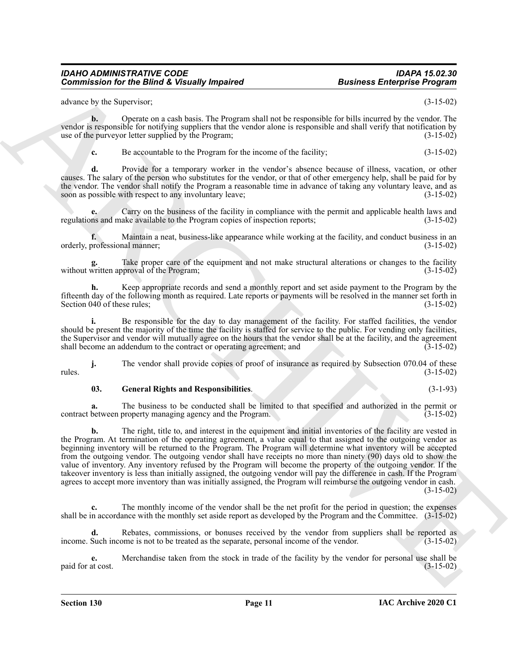advance by the Supervisor; (3-15-02)

**b.** Operate on a cash basis. The Program shall not be responsible for bills incurred by the vendor. The vendor is responsible for notifying suppliers that the vendor alone is responsible and shall verify that notification by use of the purveyor letter supplied by the Program; (3-15-02)

**c.** Be accountable to the Program for the income of the facility; (3-15-02)

**d.** Provide for a temporary worker in the vendor's absence because of illness, vacation, or other causes. The salary of the person who substitutes for the vendor, or that of other emergency help, shall be paid for by the vendor. The vendor shall notify the Program a reasonable time in advance of taking any voluntary leave, and as soon as possible with respect to any involuntary leave; (3-15-02)

**e.** Carry on the business of the facility in compliance with the permit and applicable health laws and regulations and make available to the Program copies of inspection reports; (3-15-02)

**f.** Maintain a neat, business-like appearance while working at the facility, and conduct business in an orderly, professional manner; (3-15-02)

Take proper care of the equipment and not make structural alterations or changes to the facility without written approval of the Program; (3-15-02)

**h.** Keep appropriate records and send a monthly report and set aside payment to the Program by the fifteenth day of the following month as required. Late reports or payments will be resolved in the manner set forth in Section 040 of these rules; (3-15-02)

i. Be responsible for the day to day management of the facility. For staffed facilities, the vendor should be present the majority of the time the facility is staffed for service to the public. For vending only facilities, the Supervisor and vendor will mutually agree on the hours that the vendor shall be at the facility, and the agreement shall become an addendum to the contract or operating agreement; and (3-15-02)

**j.** The vendor shall provide copies of proof of insurance as required by Subsection 070.04 of these rules. (3-15-02)

#### <span id="page-10-0"></span>**03. General Rights and Responsibilities**. (3-1-93)

**a.** The business to be conducted shall be limited to that specified and authorized in the permit or contract between property managing agency and the Program. (3-15-02)

**Commissions for the Biftre K branchives the commission of the commission of the system of the system of the system of the system of the system of the system of the system of the system of the system of the system of the b.** The right, title to, and interest in the equipment and initial inventories of the facility are vested in the Program. At termination of the operating agreement, a value equal to that assigned to the outgoing vendor as beginning inventory will be returned to the Program. The Program will determine what inventory will be accepted from the outgoing vendor. The outgoing vendor shall have receipts no more than ninety (90) days old to show the value of inventory. Any inventory refused by the Program will become the property of the outgoing vendor. If the takeover inventory is less than initially assigned, the outgoing vendor will pay the difference in cash. If the Program agrees to accept more inventory than was initially assigned, the Program will reimburse the outgoing vendor in cash. (3-15-02)

**c.** The monthly income of the vendor shall be the net profit for the period in question; the expenses shall be in accordance with the monthly set aside report as developed by the Program and the Committee. (3-15-02)

**d.** Rebates, commissions, or bonuses received by the vendor from suppliers shall be reported as income. Such income is not to be treated as the separate, personal income of the vendor. (3-15-02)

**e.** Merchandise taken from the stock in trade of the facility by the vendor for personal use shall be paid for at cost. (3-15-02)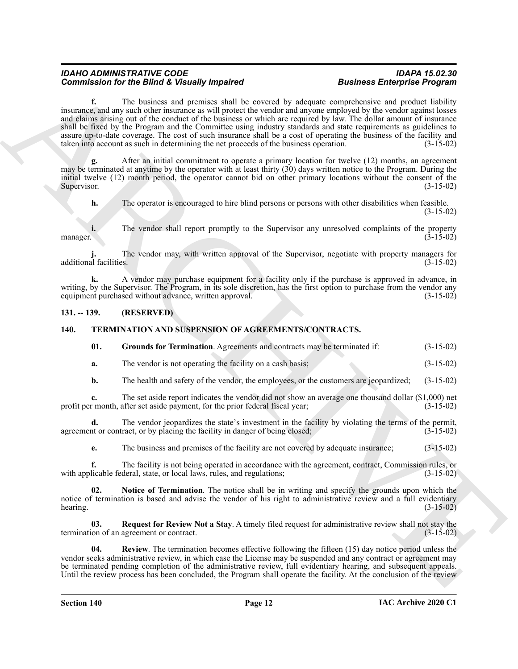Commission for the Bindian C behault property that the vertex changes of the property in the two states of the property of the control of the control of the control of the control of the control of the control of the cont **f.** The business and premises shall be covered by adequate comprehensive and product liability insurance, and any such other insurance as will protect the vendor and anyone employed by the vendor against losses and claims arising out of the conduct of the business or which are required by law. The dollar amount of insurance shall be fixed by the Program and the Committee using industry standards and state requirements as guidelines to assure up-to-date coverage. The cost of such insurance shall be a cost of operating the business of the facility and taken into account as such in determining the net proceeds of the business operation. (3-15-02)

**g.** After an initial commitment to operate a primary location for twelve (12) months, an agreement may be terminated at anytime by the operator with at least thirty (30) days written notice to the Program. During the initial twelve (12) month period, the operator cannot bid on other primary locations without the consent of the Supervisor. (3-15-02) Supervisor. (3-15-02)

**h.** The operator is encouraged to hire blind persons or persons with other disabilities when feasible. (3-15-02)

**i.** The vendor shall report promptly to the Supervisor any unresolved complaints of the property (3-15-02) manager.  $(3-15-02)$ 

**j.** The vendor may, with written approval of the Supervisor, negotiate with property managers for  $\alpha$  additional facilities. (3-15-02) and  $\alpha$  and  $\beta$  are  $\alpha$  as  $\beta$  and  $\beta$  and  $\beta$  and  $\beta$  and  $\beta$  and  $\beta$  and  $\beta$  and  $\beta$  and  $\beta$  and  $\beta$  and  $\beta$  and  $\beta$  and  $\beta$  and  $\beta$  and  $\beta$  and  $\beta$  and  $\beta$  and

**k.** A vendor may purchase equipment for a facility only if the purchase is approved in advance, in writing, by the Supervisor. The Program, in its sole discretion, has the first option to purchase from the vendor any equipment purchased without advance, written approval. (3-15-02)

#### <span id="page-11-0"></span>**131. -- 139. (RESERVED)**

#### <span id="page-11-1"></span>**140. TERMINATION AND SUSPENSION OF AGREEMENTS/CONTRACTS.**

<span id="page-11-3"></span><span id="page-11-2"></span>**01. Grounds for Termination**. Agreements and contracts may be terminated if: (3-15-02)

**a.** The vendor is not operating the facility on a cash basis; (3-15-02)

**b.** The health and safety of the vendor, the employees, or the customers are jeopardized; (3-15-02)

**c.** The set aside report indicates the vendor did not show an average one thousand dollar (\$1,000) net r month, after set aside payment, for the prior federal fiscal year; (3-15-02) profit per month, after set aside payment, for the prior federal fiscal year;

**d.** The vendor jeopardizes the state's investment in the facility by violating the terms of the permit, in the facility in danger of being closed; (3-15-02) agreement or contract, or by placing the facility in danger of being closed;

<span id="page-11-4"></span>**e.** The business and premises of the facility are not covered by adequate insurance; (3-15-02)

**f.** The facility is not being operated in accordance with the agreement, contract, Commission rules, or with applicable federal, state, or local laws, rules, and regulations; (3-15-02)

**Notice of Termination**. The notice shall be in writing and specify the grounds upon which the notice of termination is based and advise the vendor of his right to administrative review and a full evidentiary hearing. (3-15-02)  $hearing.$  (3-15-02)

<span id="page-11-5"></span>**03. Request for Review Not a Stay**. A timely filed request for administrative review shall not stay the termination of an agreement or contract. (3-15-02)

<span id="page-11-6"></span>**04. Review**. The termination becomes effective following the fifteen (15) day notice period unless the vendor seeks administrative review, in which case the License may be suspended and any contract or agreement may be terminated pending completion of the administrative review, full evidentiary hearing, and subsequent appeals. Until the review process has been concluded, the Program shall operate the facility. At the conclusion of the review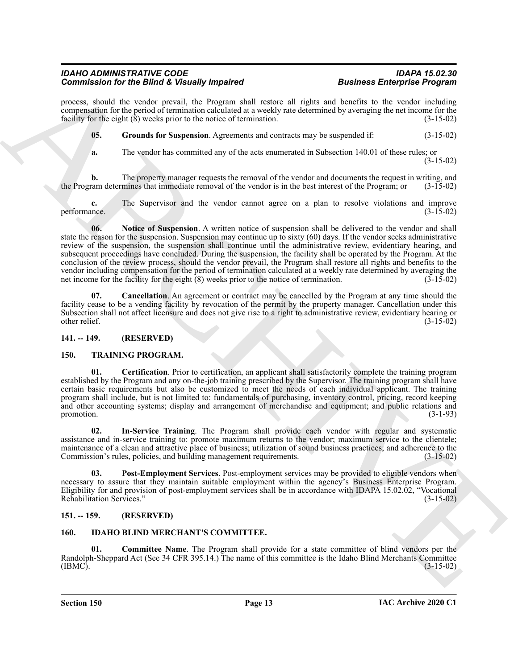process, should the vendor prevail, the Program shall restore all rights and benefits to the vendor including compensation for the period of termination calculated at a weekly rate determined by averaging the net income for the facility for the eight (8) weeks prior to the notice of termination. (3-15-02)

**05. Grounds for Suspension**. Agreements and contracts may be suspended if: (3-15-02)

<span id="page-12-7"></span>

**a.** The vendor has committed any of the acts enumerated in Subsection 140.01 of these rules; or (3-15-02)

**b.** The property manager requests the removal of the vendor and documents the request in writing, and ram determines that immediate removal of the vendor is in the best interest of the Program; or (3-15-02) the Program determines that immediate removal of the vendor is in the best interest of the Program; or

<span id="page-12-8"></span>**c.** The Supervisor and the vendor cannot agree on a plan to resolve violations and improve performance. (3-15-02)

Commission for the Binder of Notesta and the Notesta and Notesta and Notesta and Notesta and Notesta and Notesta and Notesta and Notesta and Notesta and Notesta and Notesta and Notesta and Notesta and Notesta and Notesta **06. Notice of Suspension**. A written notice of suspension shall be delivered to the vendor and shall state the reason for the suspension. Suspension may continue up to sixty  $(60)$  days. If the vendor seeks administrative review of the suspension, the suspension shall continue until the administrative review, evidentiary hearing, and subsequent proceedings have concluded. During the suspension, the facility shall be operated by the Program. At the conclusion of the review process, should the vendor prevail, the Program shall restore all rights and benefits to the vendor including compensation for the period of termination calculated at a weekly rate determined by averaging the net income for the facility for the eight (8) weeks prior to the notice of termination. (3-15-02) net income for the facility for the eight  $(8)$  weeks prior to the notice of termination.

<span id="page-12-6"></span>**07. Cancellation**. An agreement or contract may be cancelled by the Program at any time should the facility cease to be a vending facility by revocation of the permit by the property manager. Cancellation under this Subsection shall not affect licensure and does not give rise to a right to administrative review, evidentiary hearing or other relief. (3-15-02)

<span id="page-12-0"></span>**141. -- 149. (RESERVED)**

#### <span id="page-12-9"></span><span id="page-12-1"></span>**150. TRAINING PROGRAM.**

<span id="page-12-10"></span>**01. Certification**. Prior to certification, an applicant shall satisfactorily complete the training program established by the Program and any on-the-job training prescribed by the Supervisor. The training program shall have certain basic requirements but also be customized to meet the needs of each individual applicant. The training program shall include, but is not limited to: fundamentals of purchasing, inventory control, pricing, record keeping and other accounting systems; display and arrangement of merchandise and equipment; and public relations and promotion. (3-1-93) promotion.  $(3-1-93)$ 

<span id="page-12-11"></span>**02. In-Service Training**. The Program shall provide each vendor with regular and systematic assistance and in-service training to: promote maximum returns to the vendor; maximum service to the clientele; maintenance of a clean and attractive place of business; utilization of sound business practices; and adherence to the Commission's rules, policies, and building management requirements. (3-15-02)

<span id="page-12-12"></span>**03. Post-Employment Services**. Post-employment services may be provided to eligible vendors when necessary to assure that they maintain suitable employment within the agency's Business Enterprise Program. Eligibility for and provision of post-employment services shall be in accordance with IDAPA 15.02.02, "Vocational Rehabilitation Services." (3-15-02)

#### <span id="page-12-2"></span>**151. -- 159. (RESERVED)**

#### <span id="page-12-5"></span><span id="page-12-4"></span><span id="page-12-3"></span>**160. IDAHO BLIND MERCHANT'S COMMITTEE.**

**01. Committee Name**. The Program shall provide for a state committee of blind vendors per the Randolph-Sheppard Act (See 34 CFR 395.14.) The name of this committee is the Idaho Blind Merchants Committee (IBMC).  $(3-15-02)$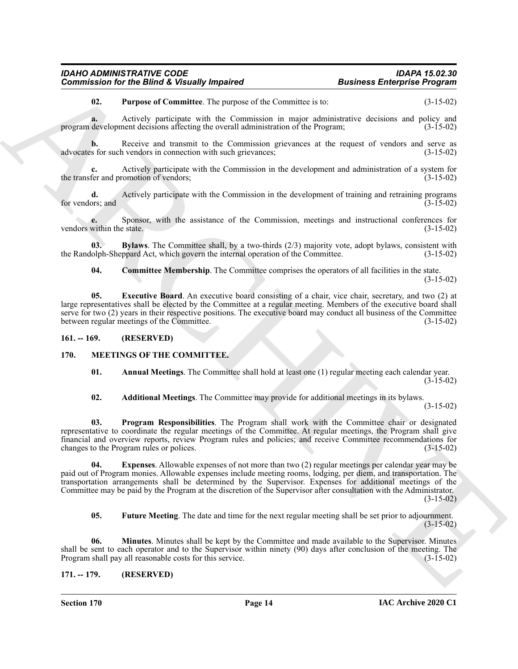<span id="page-13-6"></span>**02. Purpose of Committee**. The purpose of the Committee is to: (3-15-02)

**a.** Actively participate with the Commission in major administrative decisions and policy and development decisions affecting the overall administration of the Program: (3-15-02) program development decisions affecting the overall administration of the Program;

**b.** Receive and transmit to the Commission grievances at the request of vendors and serve as s for such vendors in connection with such grievances; (3-15-02) advocates for such vendors in connection with such grievances;

**c.** Actively participate with the Commission in the development and administration of a system for the transfer and promotion of vendors; (3-15-02)

**d.** Actively participate with the Commission in the development of training and retraining programs (3-15-02) for vendors; and

**e.** Sponsor, with the assistance of the Commission, meetings and instructional conferences for within the state. (3-15-02) vendors within the state.

**03. Bylaws**. The Committee shall, by a two-thirds (2/3) majority vote, adopt bylaws, consistent with the Randolph-Sheppard Act, which govern the internal operation of the Committee. (3-15-02)

<span id="page-13-5"></span><span id="page-13-4"></span><span id="page-13-3"></span>**04.** Committee Membership. The Committee comprises the operators of all facilities in the state. (3-15-02)

**05. Executive Board**. An executive board consisting of a chair, vice chair, secretary, and two (2) at large representatives shall be elected by the Committee at a regular meeting. Members of the executive board shall serve for two (2) years in their respective positions. The executive board may conduct all business of the Committee between regular meetings of the Committee. (3-15-02)

<span id="page-13-0"></span>**161. -- 169. (RESERVED)**

#### <span id="page-13-1"></span>**170. MEETINGS OF THE COMMITTEE.**

<span id="page-13-9"></span><span id="page-13-7"></span>**01. Annual Meetings**. The Committee shall hold at least one (1) regular meeting each calendar year. (3-15-02)

<span id="page-13-13"></span><span id="page-13-8"></span>**02. Additional Meetings**. The Committee may provide for additional meetings in its bylaws.

(3-15-02)

**03. Program Responsibilities**. The Program shall work with the Committee chair or designated representative to coordinate the regular meetings of the Committee. At regular meetings, the Program shall give financial and overview reports, review Program rules and policies; and receive Committee recommendations for changes to the Program rules or polices. (3-15-02)

Commissions for the Biftra K. Vietnamby, Impaired<br>
U. The propose of Countries the propose of the Commission in the Samuella of the Biftra Commission (5 14-52)<br>
The main of the Samuella Commission in the Commission in the **04. Expenses**. Allowable expenses of not more than two (2) regular meetings per calendar year may be paid out of Program monies. Allowable expenses include meeting rooms, lodging, per diem, and transportation. The transportation arrangements shall be determined by the Supervisor. Expenses for additional meetings of the Committee may be paid by the Program at the discretion of the Supervisor after consultation with the Administrator. (3-15-02)

<span id="page-13-12"></span><span id="page-13-11"></span><span id="page-13-10"></span>**05. Future Meeting**. The date and time for the next regular meeting shall be set prior to adjournment. (3-15-02)

**06. Minutes**. Minutes shall be kept by the Committee and made available to the Supervisor. Minutes shall be sent to each operator and to the Supervisor within ninety (90) days after conclusion of the meeting. The Program shall pay all reasonable costs for this service. (3-15-02) Program shall pay all reasonable costs for this service.

<span id="page-13-2"></span>**171. -- 179. (RESERVED)**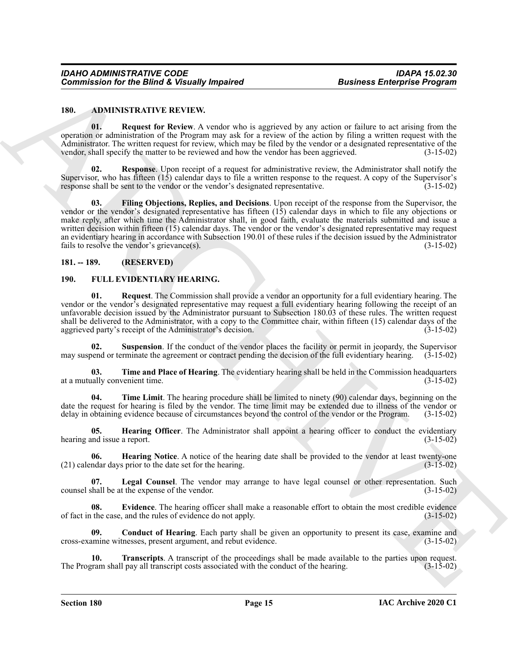#### <span id="page-14-5"></span><span id="page-14-3"></span><span id="page-14-0"></span>**180. ADMINISTRATIVE REVIEW.**

**01. Request for Review**. A vendor who is aggrieved by any action or failure to act arising from the operation or administration of the Program may ask for a review of the action by filing a written request with the Administrator. The written request for review, which may be filed by the vendor or a designated representative of the vendor, shall specify the matter to be reviewed and how the vendor has been aggrieved. (3-15-02) vendor, shall specify the matter to be reviewed and how the vendor has been aggrieved.

<span id="page-14-6"></span><span id="page-14-4"></span>**02. Response**. Upon receipt of a request for administrative review, the Administrator shall notify the Supervisor, who has fifteen (15) calendar days to file a written response to the request. A copy of the Supervisor's response shall be sent to the vendor or the vendor's designated representative. (3-15-02)

**Commission for the Bifurd K branchy Impaired<br>
1810. Consider the Review A velocity and the system of the two scatter of the two scattering the measurement of the system of the system of the system of the system of the sy 03. Filing Objections, Replies, and Decisions**. Upon receipt of the response from the Supervisor, the vendor or the vendor's designated representative has fifteen (15) calendar days in which to file any objections or make reply, after which time the Administrator shall, in good faith, evaluate the materials submitted and issue a written decision within fifteen (15) calendar days. The vendor or the vendor's designated representative may request an evidentiary hearing in accordance with Subsection 190.01 of these rules if the decision issued by the Administrator fails to resolve the vendor's grievance(s). (3-15-02)

#### <span id="page-14-1"></span>**181. -- 189. (RESERVED)**

#### <span id="page-14-13"></span><span id="page-14-7"></span><span id="page-14-2"></span>**190. FULL EVIDENTIARY HEARING.**

**01. Request**. The Commission shall provide a vendor an opportunity for a full evidentiary hearing. The vendor or the vendor's designated representative may request a full evidentiary hearing following the receipt of an unfavorable decision issued by the Administrator pursuant to Subsection 180.03 of these rules. The written request shall be delivered to the Administrator, with a copy to the Committee chair, within fifteen (15) calendar days of the aggrieved party's receipt of the Administrator's decision. (3-15-02) aggrieved party's receipt of the Administrator's decision.

<span id="page-14-14"></span>**02. Suspension**. If the conduct of the vendor places the facility or permit in jeopardy, the Supervisor may suspend or terminate the agreement or contract pending the decision of the full evidentiary hearing. (3-15-02)

<span id="page-14-15"></span>**03. Time and Place of Hearing**. The evidentiary hearing shall be held in the Commission headquarters at a mutually convenient time. (3-15-02)

<span id="page-14-16"></span>**04. Time Limit**. The hearing procedure shall be limited to ninety (90) calendar days, beginning on the date the request for hearing is filed by the vendor. The time limit may be extended due to illness of the vendor or delay in obtaining evidence because of circumstances beyond the control of the vendor or the Program. (3-15-02)

<span id="page-14-11"></span>**05. Hearing Officer**. The Administrator shall appoint a hearing officer to conduct the evidentiary hearing and issue a report. (3-15-02)

<span id="page-14-10"></span>**06. Hearing Notice**. A notice of the hearing date shall be provided to the vendor at least twenty-one ndar days prior to the date set for the hearing. (3-15-02)  $(21)$  calendar days prior to the date set for the hearing.

<span id="page-14-12"></span>**07. Legal Counsel**. The vendor may arrange to have legal counsel or other representation. Such counsel shall be at the expense of the vendor. (3-15-02)

<span id="page-14-9"></span>**08.** Evidence. The hearing officer shall make a reasonable effort to obtain the most credible evidence the case, and the rules of evidence do not apply. (3-15-02) of fact in the case, and the rules of evidence do not apply.

<span id="page-14-8"></span>**09. Conduct of Hearing**. Each party shall be given an opportunity to present its case, examine and cross-examine witnesses, present argument, and rebut evidence. (3-15-02)

<span id="page-14-17"></span>**10. Transcripts**. A transcript of the proceedings shall be made available to the parties upon request.<br>Tram shall pay all transcript costs associated with the conduct of the hearing. (3-15-02) The Program shall pay all transcript costs associated with the conduct of the hearing.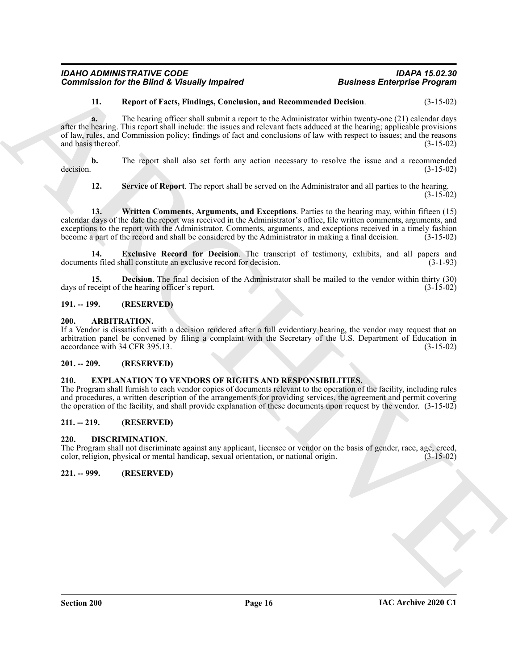#### <span id="page-15-11"></span>**11. Report of Facts, Findings, Conclusion, and Recommended Decision**. (3-15-02)

**Commission for the Bifind & Versundy Impaired<br>
Business Enterprise Programs<br>
11. However of New Towns (Section, and Recommended Devise one of the Section<br>
differential and Commission policy Commission and Recommended Dev a.** The hearing officer shall submit a report to the Administrator within twenty-one (21) calendar days after the hearing. This report shall include: the issues and relevant facts adduced at the hearing; applicable provisions of law, rules, and Commission policy; findings of fact and conclusions of law with respect to issues; and the reasons and basis thereof. (3-15-02)

**b.** The report shall also set forth any action necessary to resolve the issue and a recommended decision.  $(3-15-02)$ 

<span id="page-15-13"></span><span id="page-15-12"></span>**12. Service of Report**. The report shall be served on the Administrator and all parties to the hearing.  $(3-15-02)$ 

**13. Written Comments, Arguments, and Exceptions**. Parties to the hearing may, within fifteen (15) calendar days of the date the report was received in the Administrator's office, file written comments, arguments, and exceptions to the report with the Administrator. Comments, arguments, and exceptions received in a timely fashion become a part of the record and shall be considered by the Administrator in making a final decision. (3-15-02)

<span id="page-15-10"></span>**14. Exclusive Record for Decision**. The transcript of testimony, exhibits, and all papers and documents filed shall constitute an exclusive record for decision. (3-1-93)

<span id="page-15-9"></span>**15. Decision**. The final decision of the Administrator shall be mailed to the vendor within thirty (30) eccipt of the hearing officer's report. (3-15-02) days of receipt of the hearing officer's report.

#### <span id="page-15-0"></span>**191. -- 199. (RESERVED)**

#### <span id="page-15-1"></span>**200. ARBITRATION.**

If a Vendor is dissatisfied with a decision rendered after a full evidentiary hearing, the vendor may request that an arbitration panel be convened by filing a complaint with the Secretary of the U.S. Department of Education in accordance with 34 CFR 395.13. (3-15-02)

#### <span id="page-15-2"></span>**201. -- 209. (RESERVED)**

#### <span id="page-15-8"></span><span id="page-15-3"></span>**210. EXPLANATION TO VENDORS OF RIGHTS AND RESPONSIBILITIES.**

The Program shall furnish to each vendor copies of documents relevant to the operation of the facility, including rules and procedures, a written description of the arrangements for providing services, the agreement and permit covering the operation of the facility, and shall provide explanation of these documents upon request by the vendor. (3-15-02)

#### <span id="page-15-4"></span>**211. -- 219. (RESERVED)**

#### <span id="page-15-7"></span><span id="page-15-5"></span>**220. DISCRIMINATION.**

The Program shall not discriminate against any applicant, licensee or vendor on the basis of gender, race, age, creed, color, religion, physical or mental handicap, sexual orientation, or national origin. (3-15-02)

<span id="page-15-6"></span>**221. -- 999. (RESERVED)**